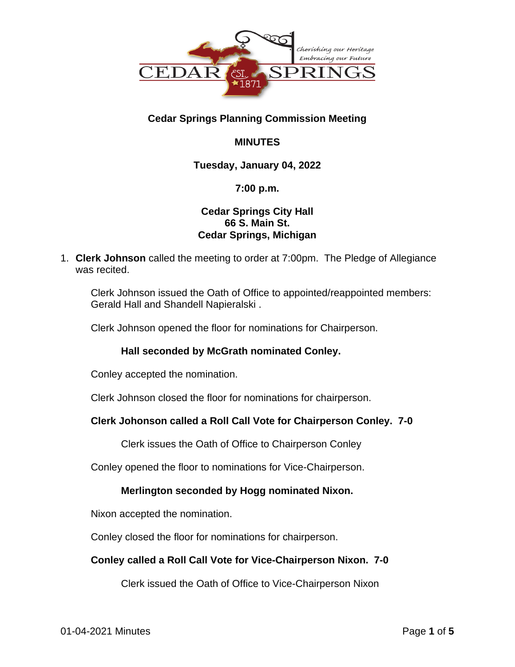

# **Cedar Springs Planning Commission Meeting**

# **MINUTES**

## **Tuesday, January 04, 2022**

## **7:00 p.m.**

## **Cedar Springs City Hall 66 S. Main St. Cedar Springs, Michigan**

1. **Clerk Johnson** called the meeting to order at 7:00pm. The Pledge of Allegiance was recited.

Clerk Johnson issued the Oath of Office to appointed/reappointed members: Gerald Hall and Shandell Napieralski .

Clerk Johnson opened the floor for nominations for Chairperson.

## **Hall seconded by McGrath nominated Conley.**

Conley accepted the nomination.

Clerk Johnson closed the floor for nominations for chairperson.

## **Clerk Johonson called a Roll Call Vote for Chairperson Conley. 7-0**

Clerk issues the Oath of Office to Chairperson Conley

Conley opened the floor to nominations for Vice-Chairperson.

## **Merlington seconded by Hogg nominated Nixon.**

Nixon accepted the nomination.

Conley closed the floor for nominations for chairperson.

## **Conley called a Roll Call Vote for Vice-Chairperson Nixon. 7-0**

Clerk issued the Oath of Office to Vice-Chairperson Nixon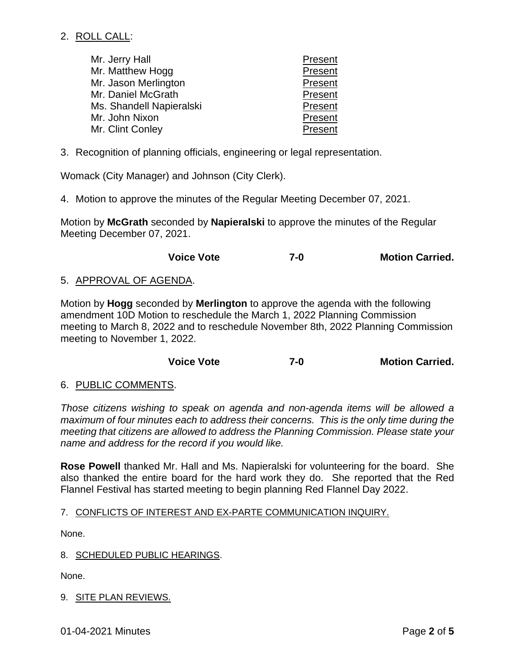## 2. ROLL CALL:

| Mr. Jerry Hall           | Present |
|--------------------------|---------|
| Mr. Matthew Hogg         | Present |
| Mr. Jason Merlington     | Present |
| Mr. Daniel McGrath       | Present |
| Ms. Shandell Napieralski | Present |
| Mr. John Nixon           | Present |
| Mr. Clint Conley         | Present |

3. Recognition of planning officials, engineering or legal representation.

Womack (City Manager) and Johnson (City Clerk).

4. Motion to approve the minutes of the Regular Meeting December 07, 2021.

Motion by **McGrath** seconded by **Napieralski** to approve the minutes of the Regular Meeting December 07, 2021.

### **Voice Vote 7-0 Motion Carried.**

### 5. APPROVAL OF AGENDA.

Motion by **Hogg** seconded by **Merlington** to approve the agenda with the following amendment 10D Motion to reschedule the March 1, 2022 Planning Commission meeting to March 8, 2022 and to reschedule November 8th, 2022 Planning Commission meeting to November 1, 2022.

### **Voice Vote 7-0 Motion Carried.**

### 6. PUBLIC COMMENTS.

*Those citizens wishing to speak on agenda and non-agenda items will be allowed a maximum of four minutes each to address their concerns. This is the only time during the meeting that citizens are allowed to address the Planning Commission. Please state your name and address for the record if you would like.*

**Rose Powell** thanked Mr. Hall and Ms. Napieralski for volunteering for the board. She also thanked the entire board for the hard work they do. She reported that the Red Flannel Festival has started meeting to begin planning Red Flannel Day 2022.

### 7. CONFLICTS OF INTEREST AND EX-PARTE COMMUNICATION INQUIRY.

None.

8. SCHEDULED PUBLIC HEARINGS.

None.

### 9. SITE PLAN REVIEWS.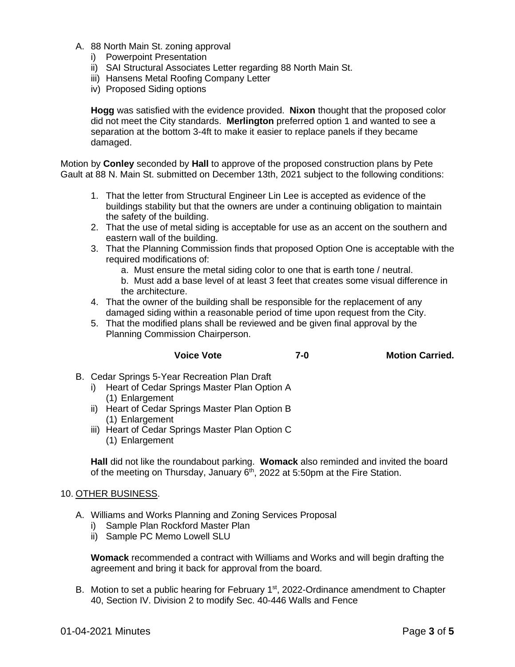- A. 88 North Main St. zoning approval
	- i) Powerpoint Presentation
	- ii) SAI Structural Associates Letter regarding 88 North Main St.
	- iii) Hansens Metal Roofing Company Letter
	- iv) Proposed Siding options

**Hogg** was satisfied with the evidence provided. **Nixon** thought that the proposed color did not meet the City standards. **Merlington** preferred option 1 and wanted to see a separation at the bottom 3-4ft to make it easier to replace panels if they became damaged.

Motion by **Conley** seconded by **Hall** to approve of the proposed construction plans by Pete Gault at 88 N. Main St. submitted on December 13th, 2021 subject to the following conditions:

- 1. That the letter from Structural Engineer Lin Lee is accepted as evidence of the buildings stability but that the owners are under a continuing obligation to maintain the safety of the building.
- 2. That the use of metal siding is acceptable for use as an accent on the southern and eastern wall of the building.
- 3. That the Planning Commission finds that proposed Option One is acceptable with the required modifications of:
	- a. Must ensure the metal siding color to one that is earth tone / neutral.
	- b. Must add a base level of at least 3 feet that creates some visual difference in the architecture.
- 4. That the owner of the building shall be responsible for the replacement of any damaged siding within a reasonable period of time upon request from the City.
- 5. That the modified plans shall be reviewed and be given final approval by the Planning Commission Chairperson.

#### **Voice Vote 7-0 Motion Carried.**

- B. Cedar Springs 5-Year Recreation Plan Draft
	- i) Heart of Cedar Springs Master Plan Option A (1) Enlargement
	- ii) Heart of Cedar Springs Master Plan Option B (1) Enlargement
	- iii) Heart of Cedar Springs Master Plan Option C (1) Enlargement

**Hall** did not like the roundabout parking. **Womack** also reminded and invited the board of the meeting on Thursday, January  $6<sup>th</sup>$ , 2022 at 5:50pm at the Fire Station.

#### 10. OTHER BUSINESS.

- A. Williams and Works Planning and Zoning Services Proposal
	- i) Sample Plan Rockford Master Plan
	- ii) Sample PC Memo Lowell SLU

**Womack** recommended a contract with Williams and Works and will begin drafting the agreement and bring it back for approval from the board.

B. Motion to set a public hearing for February 1<sup>st</sup>, 2022-Ordinance amendment to Chapter 40, Section IV. Division 2 to modify Sec. 40-446 Walls and Fence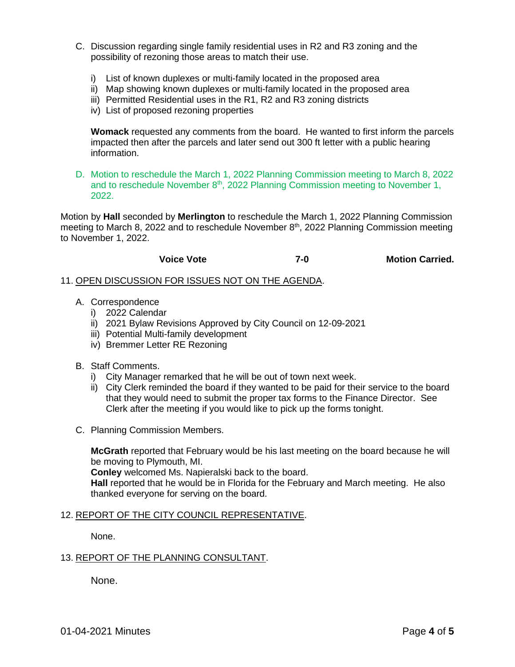- C. Discussion regarding single family residential uses in R2 and R3 zoning and the possibility of rezoning those areas to match their use.
	- i) List of known duplexes or multi-family located in the proposed area
	- ii) Map showing known duplexes or multi-family located in the proposed area
	- iii) Permitted Residential uses in the R1, R2 and R3 zoning districts
	- iv) List of proposed rezoning properties

**Womack** requested any comments from the board. He wanted to first inform the parcels impacted then after the parcels and later send out 300 ft letter with a public hearing information.

D. Motion to reschedule the March 1, 2022 Planning Commission meeting to March 8, 2022 and to reschedule November 8<sup>th</sup>, 2022 Planning Commission meeting to November 1, 2022.

Motion by **Hall** seconded by **Merlington** to reschedule the March 1, 2022 Planning Commission meeting to March 8, 2022 and to reschedule November  $8<sup>th</sup>$ , 2022 Planning Commission meeting to November 1, 2022.

| <b>Voice Vote</b> | <b>Motion Carried.</b><br>$7-0$ |
|-------------------|---------------------------------|
|-------------------|---------------------------------|

#### 11. OPEN DISCUSSION FOR ISSUES NOT ON THE AGENDA.

- A. Correspondence
	- i) 2022 Calendar
	- ii) 2021 Bylaw Revisions Approved by City Council on 12-09-2021
	- iii) Potential Multi-family development
	- iv) Bremmer Letter RE Rezoning
- B. Staff Comments.
	- i) City Manager remarked that he will be out of town next week.
	- ii) City Clerk reminded the board if they wanted to be paid for their service to the board that they would need to submit the proper tax forms to the Finance Director. See Clerk after the meeting if you would like to pick up the forms tonight.
- C. Planning Commission Members.

**McGrath** reported that February would be his last meeting on the board because he will be moving to Plymouth, MI.

**Conley** welcomed Ms. Napieralski back to the board.

**Hall** reported that he would be in Florida for the February and March meeting. He also thanked everyone for serving on the board.

#### 12. REPORT OF THE CITY COUNCIL REPRESENTATIVE.

None.

#### 13. REPORT OF THE PLANNING CONSULTANT.

None.